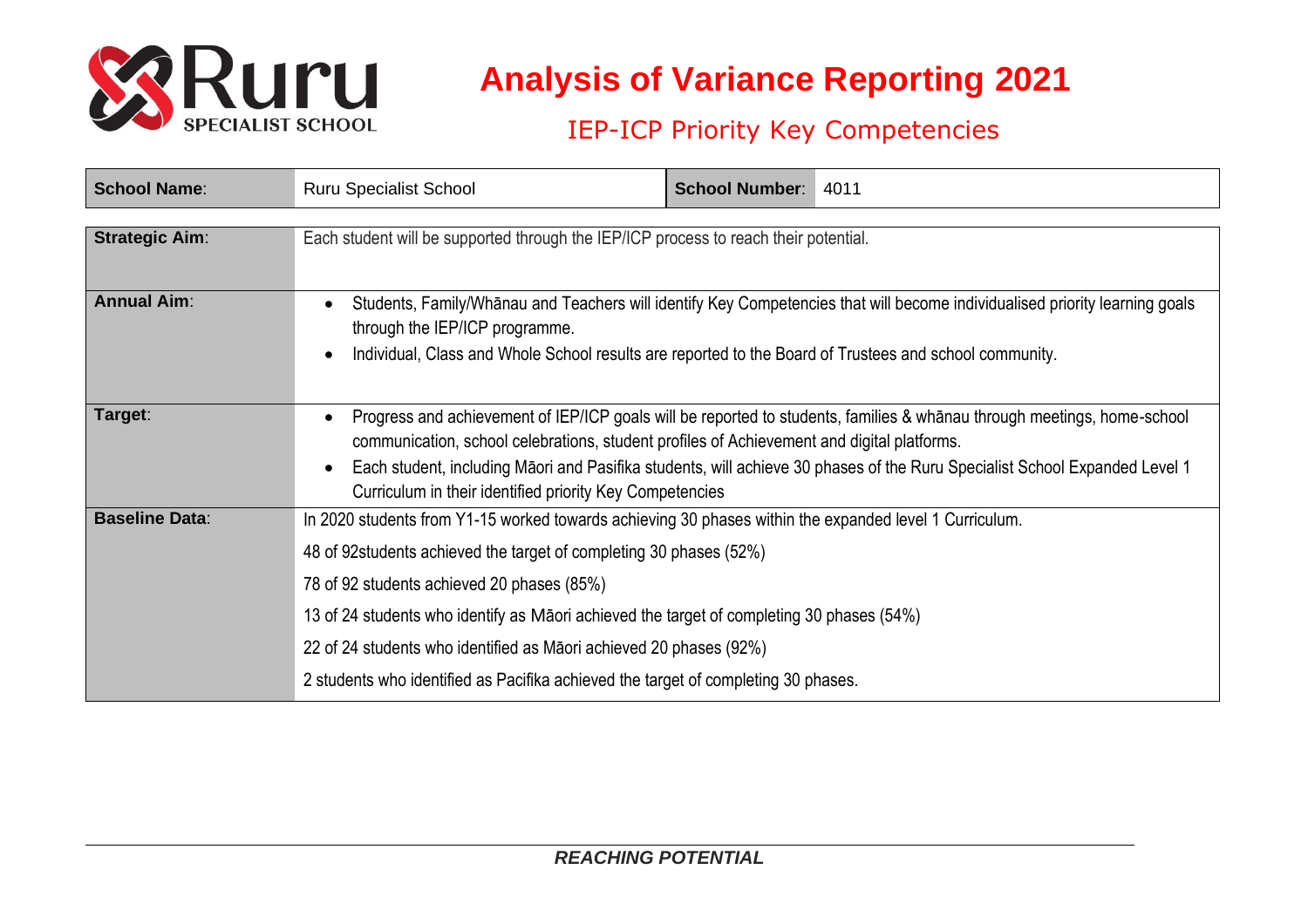

## **Analysis of Variance Reporting 2021**

## IEP-ICP Priority Key Competencies

| <b>School Name:</b>   | <b>Ruru Specialist School</b>                                                                                                                                                                                                                                                                                                                                                                                                                                                        | <b>School Number:</b> | 4011 |  |  |
|-----------------------|--------------------------------------------------------------------------------------------------------------------------------------------------------------------------------------------------------------------------------------------------------------------------------------------------------------------------------------------------------------------------------------------------------------------------------------------------------------------------------------|-----------------------|------|--|--|
| <b>Strategic Aim:</b> | Each student will be supported through the IEP/ICP process to reach their potential.                                                                                                                                                                                                                                                                                                                                                                                                 |                       |      |  |  |
| <b>Annual Aim:</b>    | Students, Family/Whanau and Teachers will identify Key Competencies that will become individualised priority learning goals<br>through the IEP/ICP programme.<br>Individual, Class and Whole School results are reported to the Board of Trustees and school community.                                                                                                                                                                                                              |                       |      |  |  |
| Target:               | Progress and achievement of IEP/ICP goals will be reported to students, families & whanau through meetings, home-school<br>communication, school celebrations, student profiles of Achievement and digital platforms.<br>Each student, including Māori and Pasifika students, will achieve 30 phases of the Ruru Specialist School Expanded Level 1<br>Curriculum in their identified priority Key Competencies                                                                      |                       |      |  |  |
| <b>Baseline Data:</b> | In 2020 students from Y1-15 worked towards achieving 30 phases within the expanded level 1 Curriculum.<br>48 of 92 students achieved the target of completing 30 phases (52%)<br>78 of 92 students achieved 20 phases (85%)<br>13 of 24 students who identify as Maori achieved the target of completing 30 phases (54%)<br>22 of 24 students who identified as Māori achieved 20 phases (92%)<br>2 students who identified as Pacifika achieved the target of completing 30 phases. |                       |      |  |  |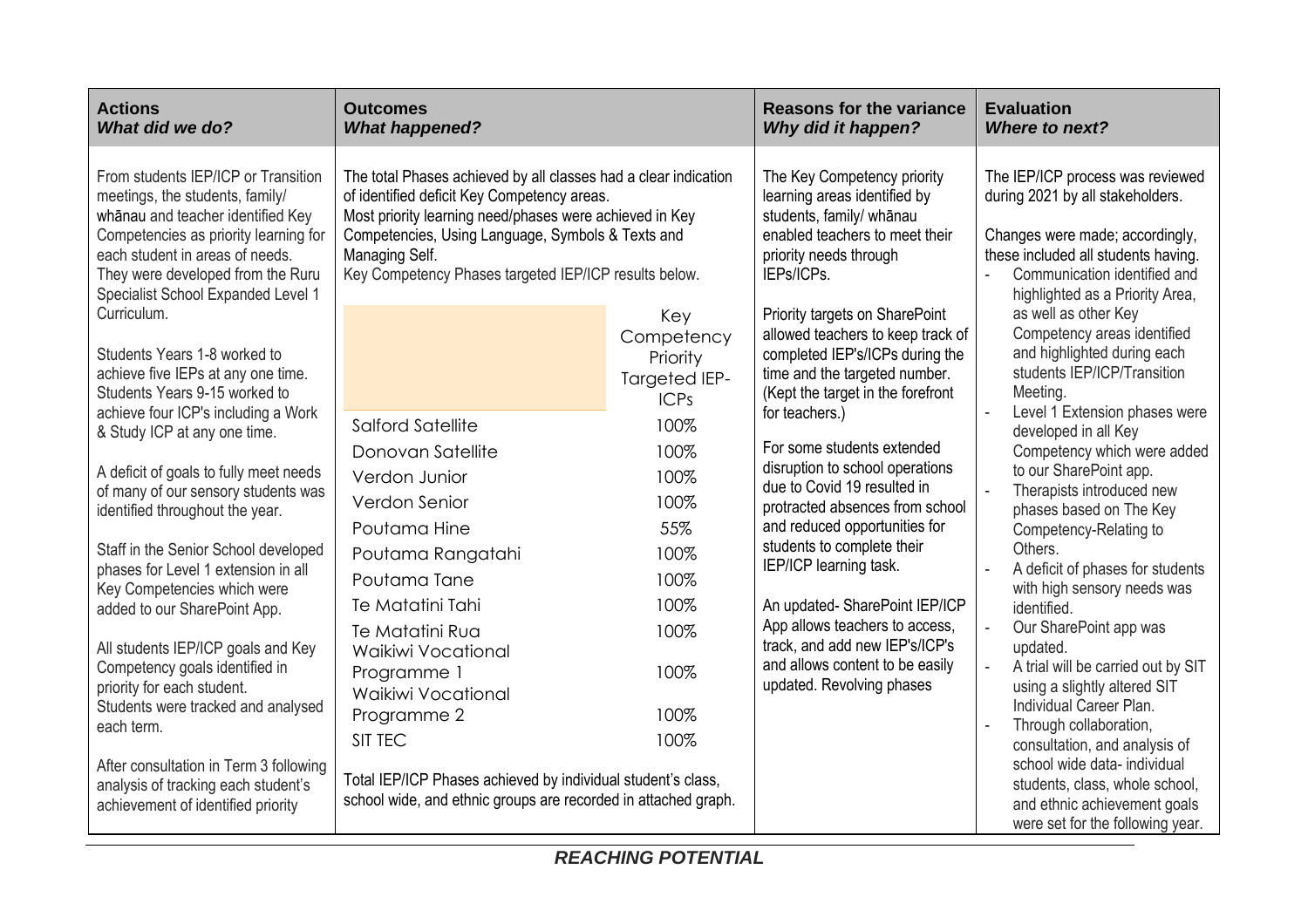| <b>Actions</b><br>What did we do?                                                                                                                                                                                                                                                                                                                                                                                                                        | <b>Outcomes</b><br><b>What happened?</b>                                                                                                                                                                                                                                                                  |                                                                                     | <b>Reasons for the variance</b><br>Why did it happen?                                                                                                                                                                                                                                                                                                                                                                                                                                                                                                                                                                                                                                                                                                                                                                                                                                                                                                                                                                                                                                                                                                                                                                               | <b>Evaluation</b><br><b>Where to next?</b>                                                                                                                                                                        |
|----------------------------------------------------------------------------------------------------------------------------------------------------------------------------------------------------------------------------------------------------------------------------------------------------------------------------------------------------------------------------------------------------------------------------------------------------------|-----------------------------------------------------------------------------------------------------------------------------------------------------------------------------------------------------------------------------------------------------------------------------------------------------------|-------------------------------------------------------------------------------------|-------------------------------------------------------------------------------------------------------------------------------------------------------------------------------------------------------------------------------------------------------------------------------------------------------------------------------------------------------------------------------------------------------------------------------------------------------------------------------------------------------------------------------------------------------------------------------------------------------------------------------------------------------------------------------------------------------------------------------------------------------------------------------------------------------------------------------------------------------------------------------------------------------------------------------------------------------------------------------------------------------------------------------------------------------------------------------------------------------------------------------------------------------------------------------------------------------------------------------------|-------------------------------------------------------------------------------------------------------------------------------------------------------------------------------------------------------------------|
| From students IEP/ICP or Transition<br>meetings, the students, family/<br>whanau and teacher identified Key<br>Competencies as priority learning for<br>each student in areas of needs.<br>They were developed from the Ruru<br>Specialist School Expanded Level 1                                                                                                                                                                                       | The total Phases achieved by all classes had a clear indication<br>of identified deficit Key Competency areas.<br>Most priority learning need/phases were achieved in Key<br>Competencies, Using Language, Symbols & Texts and<br>Managing Self.<br>Key Competency Phases targeted IEP/ICP results below. |                                                                                     | The Key Competency priority<br>learning areas identified by<br>students, family/ whānau<br>enabled teachers to meet their<br>priority needs through<br>IEPs/ICPs.                                                                                                                                                                                                                                                                                                                                                                                                                                                                                                                                                                                                                                                                                                                                                                                                                                                                                                                                                                                                                                                                   | The IEP/ICP process was reviewed<br>during 2021 by all stakeholders.<br>Changes were made; accordingly,<br>these included all students having.<br>Communication identified and<br>highlighted as a Priority Area, |
| Curriculum.<br>Students Years 1-8 worked to<br>achieve five IEPs at any one time.<br>Students Years 9-15 worked to<br>achieve four ICP's including a Work                                                                                                                                                                                                                                                                                                | Salford Satellite                                                                                                                                                                                                                                                                                         | Key<br>Competency<br>Priority<br><b>Targeted IEP-</b><br><b>ICPs</b><br>100%        | as well as other Key<br>Priority targets on SharePoint<br>Competency areas identified<br>allowed teachers to keep track of<br>and highlighted during each<br>completed IEP's/ICPs during the<br>students IEP/ICP/Transition<br>time and the targeted number.<br>Meeting.<br>(Kept the target in the forefront<br>Level 1 Extension phases were<br>for teachers.)<br>developed in all Key<br>For some students extended<br>Competency which were added<br>disruption to school operations<br>to our SharePoint app.<br>due to Covid 19 resulted in<br>Therapists introduced new<br>protracted absences from school<br>phases based on The Key<br>and reduced opportunities for<br>Competency-Relating to<br>students to complete their<br>Others.<br>IEP/ICP learning task.<br>A deficit of phases for students<br>with high sensory needs was<br>An updated-SharePoint IEP/ICP<br>identified.<br>App allows teachers to access,<br>Our SharePoint app was<br>track, and add new IEP's/ICP's<br>updated.<br>and allows content to be easily<br>A trial will be carried out by SIT<br>updated. Revolving phases<br>using a slightly altered SIT<br>Individual Career Plan.<br>Through collaboration,<br>consultation, and analysis of |                                                                                                                                                                                                                   |
| & Study ICP at any one time.<br>A deficit of goals to fully meet needs<br>of many of our sensory students was<br>identified throughout the year.<br>Staff in the Senior School developed<br>phases for Level 1 extension in all<br>Key Competencies which were<br>added to our SharePoint App.<br>All students IEP/ICP goals and Key<br>Competency goals identified in<br>priority for each student.<br>Students were tracked and analysed<br>each term. | Donovan Satellite<br>Verdon Junior<br>Verdon Senior<br>Poutama Hine<br>Poutama Rangatahi<br>Poutama Tane<br>Te Matatini Tahi<br>Te Matatini Rua<br>Waikiwi Vocational<br>Programme 1<br><b>Waikiwi Vocational</b><br>Programme 2<br>SIT TEC                                                               | 100%<br>100%<br>100%<br>55%<br>100%<br>100%<br>100%<br>100%<br>100%<br>100%<br>100% |                                                                                                                                                                                                                                                                                                                                                                                                                                                                                                                                                                                                                                                                                                                                                                                                                                                                                                                                                                                                                                                                                                                                                                                                                                     |                                                                                                                                                                                                                   |
| After consultation in Term 3 following<br>analysis of tracking each student's<br>achievement of identified priority                                                                                                                                                                                                                                                                                                                                      | Total IEP/ICP Phases achieved by individual student's class,<br>school wide, and ethnic groups are recorded in attached graph.                                                                                                                                                                            |                                                                                     |                                                                                                                                                                                                                                                                                                                                                                                                                                                                                                                                                                                                                                                                                                                                                                                                                                                                                                                                                                                                                                                                                                                                                                                                                                     | school wide data- individual<br>students, class, whole school,<br>and ethnic achievement goals<br>were set for the following year.                                                                                |